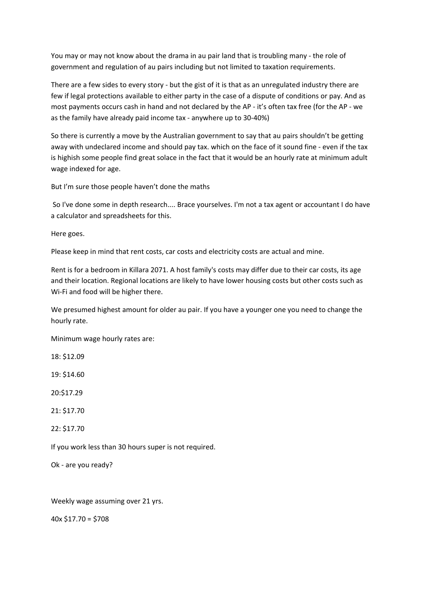You may or may not know about the drama in au pair land that is troubling many - the role of government and regulation of au pairs including but not limited to taxation requirements.

There are a few sides to every story - but the gist of it is that as an unregulated industry there are few if legal protections available to either party in the case of a dispute of conditions or pay. And as most payments occurs cash in hand and not declared by the AP ‐ it's often tax free (for the AP ‐ we as the family have already paid income tax ‐ anywhere up to 30‐40%)

So there is currently a move by the Australian government to say that au pairs shouldn't be getting away with undeclared income and should pay tax. which on the face of it sound fine ‐ even if the tax is highish some people find great solace in the fact that it would be an hourly rate at minimum adult wage indexed for age.

But I'm sure those people haven't done the maths

So I've done some in depth research.... Brace yourselves. I'm not a tax agent or accountant I do have a calculator and spreadsheets for this.

Here goes.

Please keep in mind that rent costs, car costs and electricity costs are actual and mine.

Rent is for a bedroom in Killara 2071. A host family's costs may differ due to their car costs, its age and their location. Regional locations are likely to have lower housing costs but other costs such as Wi-Fi and food will be higher there.

We presumed highest amount for older au pair. If you have a younger one you need to change the hourly rate.

Minimum wage hourly rates are:

18: \$12.09

19: \$14.60

20:\$17.29

21: \$17.70

22: \$17.70

If you work less than 30 hours super is not required.

Ok ‐ are you ready?

Weekly wage assuming over 21 yrs.

40x \$17.70 = \$708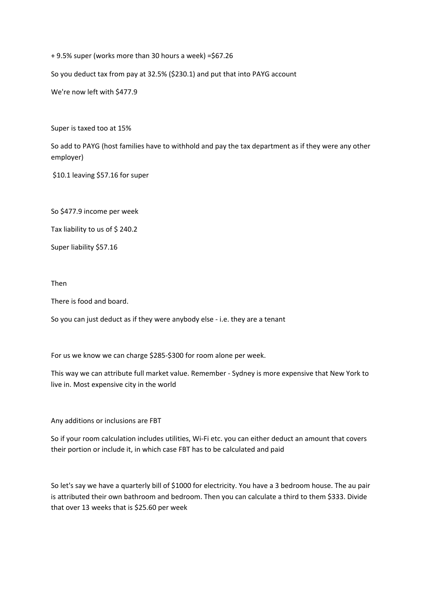+ 9.5% super (works more than 30 hours a week) =\$67.26

So you deduct tax from pay at 32.5% (\$230.1) and put that into PAYG account

We're now left with \$477.9

Super is taxed too at 15%

So add to PAYG (host families have to withhold and pay the tax department as if they were any other employer)

\$10.1 leaving \$57.16 for super

So \$477.9 income per week

Tax liability to us of \$240.2

Super liability \$57.16

Then

There is food and board.

So you can just deduct as if they were anybody else ‐ i.e. they are a tenant

For us we know we can charge \$285‐\$300 for room alone per week.

This way we can attribute full market value. Remember ‐ Sydney is more expensive that New York to live in. Most expensive city in the world

Any additions or inclusions are FBT

So if your room calculation includes utilities, Wi‐Fi etc. you can either deduct an amount that covers their portion or include it, in which case FBT has to be calculated and paid

So let's say we have a quarterly bill of \$1000 for electricity. You have a 3 bedroom house. The au pair is attributed their own bathroom and bedroom. Then you can calculate a third to them \$333. Divide that over 13 weeks that is \$25.60 per week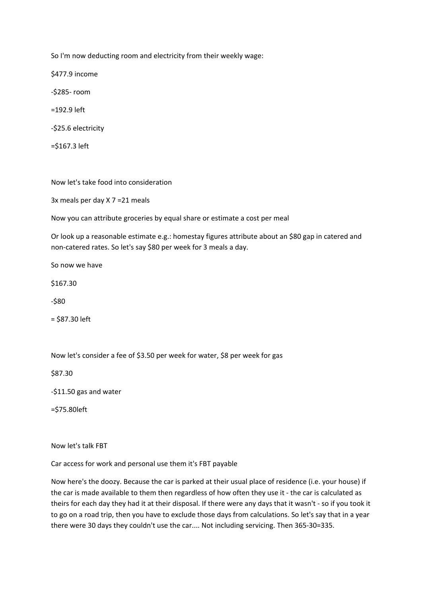So I'm now deducting room and electricity from their weekly wage:

\$477.9 income

‐\$285‐ room

=192.9 left

‐\$25.6 electricity

=\$167.3 left

Now let's take food into consideration

3x meals per day X 7 =21 meals

Now you can attribute groceries by equal share or estimate a cost per meal

Or look up a reasonable estimate e.g.: homestay figures attribute about an \$80 gap in catered and non-catered rates. So let's say \$80 per week for 3 meals a day.

So now we have

\$167.30

‐\$80

= \$87.30 left

Now let's consider a fee of \$3.50 per week for water, \$8 per week for gas

\$87.30

‐\$11.50 gas and water

=\$75.80left

Now let's talk FBT

Car access for work and personal use them it's FBT payable

Now here's the doozy. Because the car is parked at their usual place of residence (i.e. your house) if the car is made available to them then regardless of how often they use it - the car is calculated as theirs for each day they had it at their disposal. If there were any days that it wasn't ‐ so if you took it to go on a road trip, then you have to exclude those days from calculations. So let's say that in a year there were 30 days they couldn't use the car.... Not including servicing. Then 365‐30=335.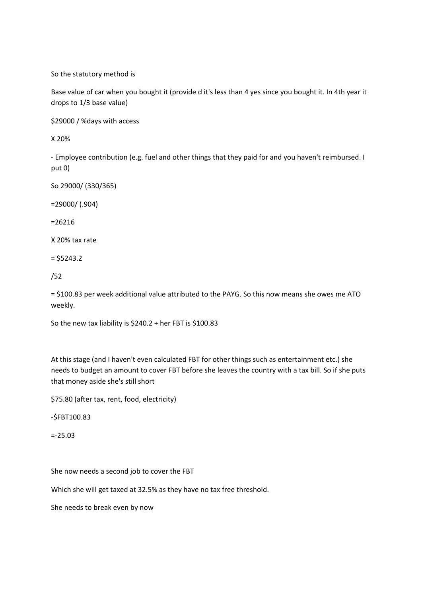So the statutory method is

Base value of car when you bought it (provide d it's less than 4 yes since you bought it. In 4th year it drops to 1/3 base value)

\$29000 / %days with access

X 20%

‐ Employee contribution (e.g. fuel and other things that they paid for and you haven't reimbursed. I put 0)

So 29000/ (330/365)

=29000/ (.904)

=26216

X 20% tax rate

 $= $5243.2$ 

/52

= \$100.83 per week additional value attributed to the PAYG. So this now means she owes me ATO weekly.

So the new tax liability is \$240.2 + her FBT is \$100.83

At this stage (and I haven't even calculated FBT for other things such as entertainment etc.) she needs to budget an amount to cover FBT before she leaves the country with a tax bill. So if she puts that money aside she's still short

\$75.80 (after tax, rent, food, electricity)

‐\$FBT100.83

=‐25.03

She now needs a second job to cover the FBT

Which she will get taxed at 32.5% as they have no tax free threshold.

She needs to break even by now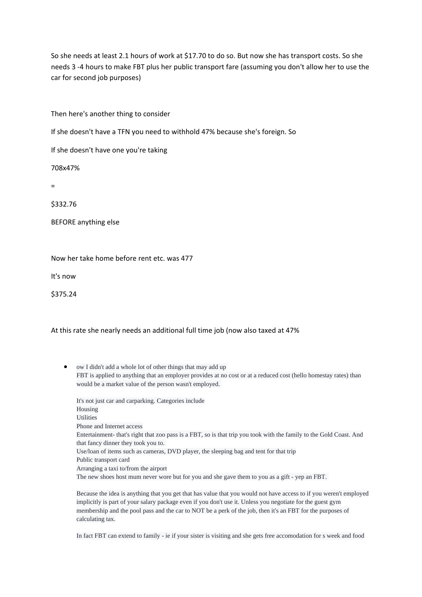So she needs at least 2.1 hours of work at \$17.70 to do so. But now she has transport costs. So she needs 3 ‐4 hours to make FBT plus her public transport fare (assuming you don't allow her to use the car for second job purposes)

Then here's another thing to consider

If she doesn't have a TFN you need to withhold 47% because she's foreign. So

If she doesn't have one you're taking

708x47%

=

\$332.76

BEFORE anything else

Now her take home before rent etc. was 477

It's now

\$375.24

At this rate she nearly needs an additional full time job (now also taxed at 47%

 ow I didn't add a whole lot of other things that may add up FBT is applied to anything that an employer provides at no cost or at a reduced cost (hello homestay rates) than would be a market value of the person wasn't employed.

| It's not just car and carparking. Categories include                                                                |
|---------------------------------------------------------------------------------------------------------------------|
| Housing                                                                                                             |
| Utilities                                                                                                           |
| Phone and Internet access                                                                                           |
| Entertainment- that's right that zoo pass is a FBT, so is that trip you took with the family to the Gold Coast. And |
| that fancy dinner they took you to.                                                                                 |
| Use/loan of items such as cameras, DVD player, the sleeping bag and tent for that trip                              |
| Public transport card                                                                                               |
| Arranging a taxi to/from the airport                                                                                |
| The new shoes host mum never wore but for you and she gave them to you as a gift - yep an FBT.                      |

Because the idea is anything that you get that has value that you would not have access to if you weren't employed implicitly is part of your salary package even if you don't use it. Unless you negotiate for the guest gym membership and the pool pass and the car to NOT be a perk of the job, then it's an FBT for the purposes of calculating tax.

In fact FBT can extend to family - ie if your sister is visiting and she gets free accomodation for s week and food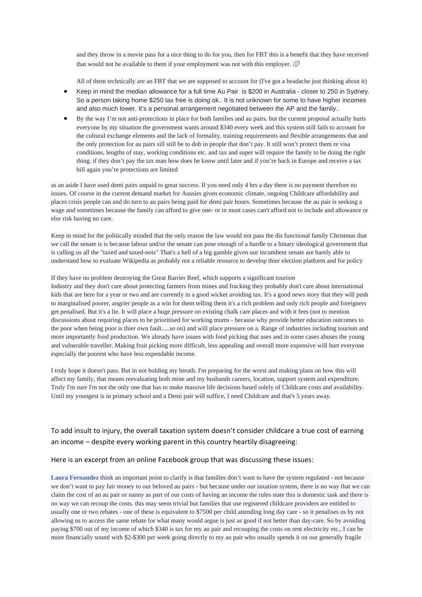and they throw in a movie pass for a nice thing to do for you, then for FBT this is a benefit that they have received that would not be available to them if your employment was not with this employer.  $\circledB$ 

All of them technically are an FBT that we are supposed to account for (I've got a headache just thinking about it)

- Keep in mind the median allowance for a full time Au Pair is \$200 in Australia closer to 250 in Sydney. So a person taking home \$250 tax free is doing ok.. It is not unknown for some to have higher incomes and also much lower. It's a personal arrangement negotiated between the AP and the family..
- By the way I'm not anti-protections in place for both families and au pairs. but the current proposal actually hurts everyone by my situation the government wants around \$340 every week and this system still fails to account for the cultural exchange elements and the lack of formality, training requirements and flexible arrangements that and the only protection for au pairs sill still be to dob in people that don't pay. It still won't protect them re visa conditions, lengths of stay, working conditions etc. and tax and super will require the family to be doing the right thing. if they don't pay the tax man how does he know until later and if you're back in Europe and receive a tax bill again you're protections are limited

as an aside I have used demi pairs unpaid to great success. If you need only 4 hrs a day there is no payment therefore no issues. Of course in the current demand market for Aussies given economic climate, ongoing Childcare affordability and places crisis people can and do turn to au pairs being paid for demi pair hours. Sometimes because the au pair is seeking a wage and sometimes because the family can afford to give one- or in most cases can't afford not to include and allowance or else risk having no care.

Keep in mind for the politically minded that the only reason the law would not pass the dis functional family Christmas that we call the senate is is because labour and/or the senate can pose enough of a hurdle to a binary ideological government that is calling us all the "taxed and taxed-nots" That's a hell of a big gamble given our incumbent senate are barely able to understand how to evaluate Wikipedia as probably not a reliable resource to develop thier election platform and for policy

If they have no problem destroying the Great Barrier Reef, which supports a significant tourism

Industry and they don't care about protecting farmers from mines and fracking they probably don't care about international kids that are here for a year or two and are currently in a good wicket avoiding tax. It's a good news story that they will push to marginalised poorer, angrier people as a win for them telling them it's a rich problem and only rich people and foreigners get penalised. But it's a lie. It will place a huge pressure on existing chalk care places and with it fees (not to mention discussions about requiring places to be prioritised for working mums - because why provide better education outcomes to the poor when being poor is thier own fault.....so on) and will place pressure on a. Range of industries including tourism and more importantly food production. We already have issues with food picking that uses and in some cases abuses the young and vulnerable traveller. Making fruit picking more difficult, less appealing and overall more expensive will hurt everyone especially the poorest who have less expendable income.

I truly hope it doesn't pass. But in not holding my breath. I'm preparing for the worst and making plans on how this will affect my family, that means reevaluating both mine and my husbands careers, location, support system and expenditure. Truly I'm sure I'm not the only one that has to make massive life decisions based solely of Childcare costs and availability. Until my youngest is in primary school and a Demi pair will suffice, I need Childcare and that's 5 years away.

# To add insult to injury, the overall taxation system doesn't consider childcare a true cost of earning an income – despite every working parent in this country heartily disagreeing:

## Here is an excerpt from an online Facebook group that was discussing these issues:

**Laura Fernandez** think an important point to clarify is that families don't want to have the system regulated - not because we don't want to pay fair money to our beloved au pairs - but because under our taxation system, there is no way that we can claim the cost of an au pair or nanny as part of our costs of having an income the rules state this is domestic task and there is no way we can recoup the costs. this may seem trivial but families that use registered childcare providers are entitled to usually one or two rebates - one of these is equivalent to \$7500 per child attending long day care - so it penalises us by not allowing us to access the same rebate for what many would argue is just as good if not better than day-care. So by avoiding paying \$700 out of my income of which \$340 is tax for my au pair and recouping the costs on rent electricity etc., I can be more financially sound with \$2-\$300 per week going directly to my au pair who usually spends it on our generally fragile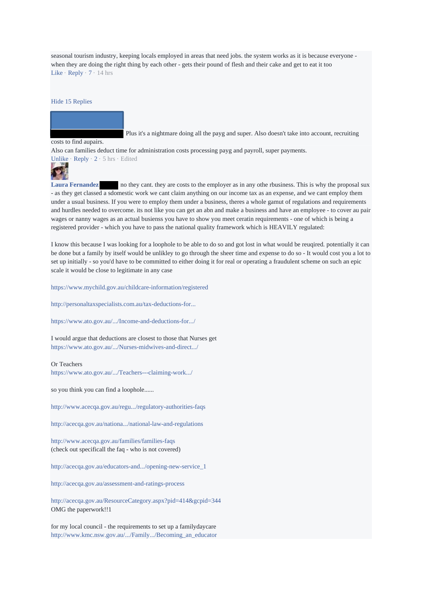seasonal tourism industry, keeping locals employed in areas that need jobs. the system works as it is because everyone when they are doing the right thing by each other - gets their pound of flesh and their cake and get to eat it too Like · Reply · 7 · 14 hrs

#### Hide 15 Replies

Plus it's a nightmare doing all the payg and super. Also doesn't take into account, recruiting

#### costs to find aupairs.

Also can families deduct time for administration costs processing payg and payroll, super payments.



Laura Fernandez no they cant. they are costs to the employer as in any othe rbusiness. This is why the proposal sux - as they get classed a sdomestic work we cant claim anything on our income tax as an expense, and we cant employ them under a usual business. If you were to employ them under a business, theres a whole gamut of regulations and requirements and hurdles needed to overcome. its not like you can get an abn and make a business and have an employee - to cover au pair wages or nanny wages as an actual busienss you have to show you meet ceratin requirements - one of which is being a registered provider - which you have to pass the national quality framework which is HEAVILY regulated:

I know this because I was looking for a loophole to be able to do so and got lost in what would be reuqired. potentially it can be done but a family by itself would be unlikley to go through the sheer time and expense to do so - It would cost you a lot to set up initially - so you'd have to be committed to either doing it for real or operating a fraudulent scheme on such an epic scale it would be close to legitimate in any case

https://www.mychild.gov.au/childcare-information/registered

http://personaltaxspecialists.com.au/tax-deductions-for...

https://www.ato.gov.au/.../Income-and-deductions-for.../

I would argue that deductions are closest to those that Nurses get https://www.ato.gov.au/.../Nurses-midwives-and-direct.../

#### Or Teachers

https://www.ato.gov.au/.../Teachers---claiming-work.../

so you think you can find a loophole......

http://www.acecqa.gov.au/regu.../regulatory-authorities-faqs

http://acecqa.gov.au/nationa.../national-law-and-regulations

http://www.acecqa.gov.au/families/families-faqs (check out specificall the faq - who is not covered)

http://acecqa.gov.au/educators-and.../opening-new-service\_1

http://acecqa.gov.au/assessment-and-ratings-process

http://acecqa.gov.au/ResourceCategory.aspx?pid=414&gcpid=344 OMG the paperwork!!1

for my local council - the requirements to set up a familydaycare http://www.kmc.nsw.gov.au/.../Family.../Becoming\_an\_educator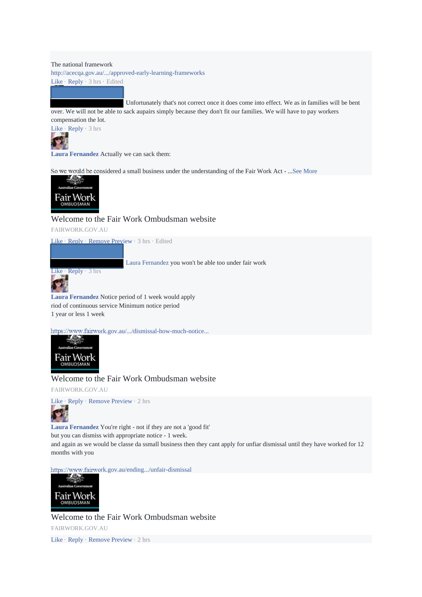The national framework http://acecqa.gov.au/.../approved-early-learning-frameworks Like · Reply · 3 hrs · Edited

 Unfortunately that's not correct once it does come into effect. We as in families will be bent over. We will not be able to sack aupairs simply because they don't fit our families. We will have to pay workers

compensation the lot.



**Laura Fernandez** Actually we can sack them:

So we would be considered a small business under the understanding of the Fair Work Act - ...See More



Welcome to the Fair Work Ombudsman website

FAIRWORK.GOV.AU

Like · Reply · Remove Preview · 3 hrs · Edited



Laura Fernandez you won't be able too under fair work

**Laura Fernandez** Notice period of 1 week would apply riod of continuous service Minimum notice period 1 year or less 1 week

https://www.fairwork.gov.au/.../dismissal-how-much-notice...



# Welcome to the Fair Work Ombudsman website

FAIRWORK.GOV.AU



**Laura Fernandez** You're right - not if they are not a 'good fit' but you can dismiss with appropriate notice - 1 week.

and again as we would be classe da ssmall business then they cant apply for unfiar dismissal until they have worked for 12 months with you

https://www.fairwork.gov.au/ending.../unfair-dismissal



Welcome to the Fair Work Ombudsman website FAIRWORK.GOV.AU

Like · Reply · Remove Preview · 2 hrs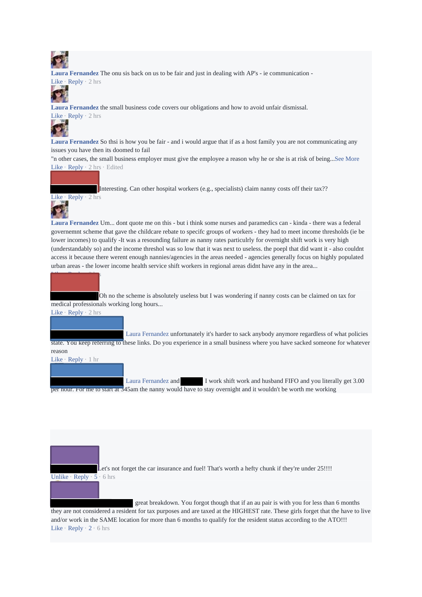

**Laura Fernandez** The onu sis back on us to be fair and just in dealing with AP's - ie communication - Like · Reply · 2 hrs



**Laura Fernandez** the small business code covers our obligations and how to avoid unfair dismissal. Like · Reply · 2 hrs



**Laura Fernandez** So thsi is how you be fair - and i would argue that if as a host family you are not communicating any issues you have then its doomed to fail

"n other cases, the small business employer must give the employee a reason why he or she is at risk of being...See More Like · Reply · 2 hrs · Edited

Interesting. Can other hospital workers (e.g., specialists) claim nanny costs off their tax??



**Laura Fernandez** Um... dont quote me on this - but i think some nurses and paramedics can - kinda - there was a federal governemnt scheme that gave the childcare rebate to specifc groups of workers - they had to meet income thresholds (ie be lower incomes) to qualify -It was a resounding failure as nanny rates particulrly for overnight shift work is very high (understandably so) and the income threshol was so low that it was next to useless. the poepl that did want it - also couldnt access it because there werent enough nannies/agencies in the areas needed - agencies generally focus on highly populated urban areas - the lower income health service shift workers in regional areas didnt have any in the area...

Oh no the scheme is absolutely useless but I was wondering if nanny costs can be claimed on tax for medical professionals working long hours...

Like · Reply · 2 hrs

Like · Reply · 2 hrs

Laura Fernandez unfortunately it's harder to sack anybody anymore regardless of what policies state. You keep referring to these links. Do you experience in a small business where you have sacked someone for whatever reason

## Like · Reply · 1 hr

Laura Fernandez and I work shift work and husband FIFO and you literally get 3.00 per hour. For me to start at 345am the nanny would have to stay overnight and it wouldn't be worth me working

Let's not forget the car insurance and fuel! That's worth a hefty chunk if they're under 25!!!! Unlike · Reply · 5 · 6 hrs

 great breakdown. You forgot though that if an au pair is with you for less than 6 months they are not considered a resident for tax purposes and are taxed at the HIGHEST rate. These girls forget that the have to live and/or work in the SAME location for more than 6 months to qualify for the resident status according to the ATO!!! Like · Reply · 2 · 6 hrs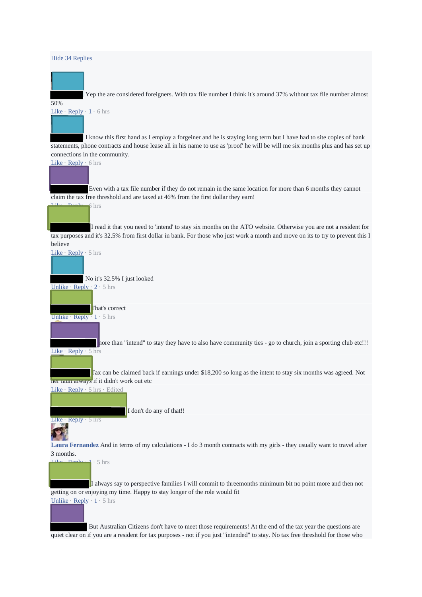### Hide 34 Replies



Yep the are considered foreigners. With tax file number I think it's around 37% without tax file number almost

50%

Like · Reply · 1 · 6 hrs

 I know this first hand as I employ a forgeiner and he is staying long term but I have had to site copies of bank statements, phone contracts and house lease all in his name to use as 'proof' he will be will me six months plus and has set up connections in the community.

Like · Reply · 6 hrs

Even with a tax file number if they do not remain in the same location for more than 6 months they cannot claim the tax free threshold and are taxed at 46% from the first dollar they earn!

 $6$  hrs

I read it that you need to 'intend' to stay six months on the ATO website. Otherwise you are not a resident for tax purposes and it's 32.5% from first dollar in bank. For those who just work a month and move on its to try to prevent this I believe



 But Australian Citizens don't have to meet those requirements! At the end of the tax year the questions are quiet clear on if you are a resident for tax purposes - not if you just "intended" to stay. No tax free threshold for those who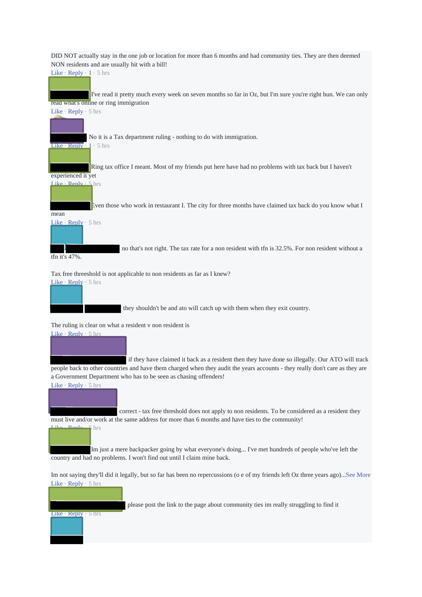DID NOT actually stay in the one job or location for more than 6 months and had community ties. They are then deemed NON residents and are usually hit with a bill!

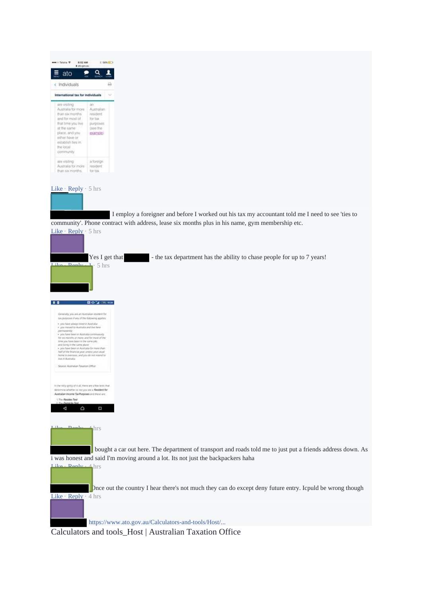| 6:52 AM<br>seattle Talents @                                                                                                                                                                        |                                                                                        | 1.60% SD                                                                                          |
|-----------------------------------------------------------------------------------------------------------------------------------------------------------------------------------------------------|----------------------------------------------------------------------------------------|---------------------------------------------------------------------------------------------------|
| # sts.gov.au<br>ato                                                                                                                                                                                 |                                                                                        |                                                                                                   |
| c Individuals                                                                                                                                                                                       |                                                                                        | Ω                                                                                                 |
| International tax for individuals                                                                                                                                                                   |                                                                                        |                                                                                                   |
| are visiting<br>Australia for more<br>than six months.<br>and for most of<br>that time you live<br>at the same<br>place, and you<br>either have or<br>establish ties in.<br>the local<br>community. | an.<br>Australian<br>resident<br><b>Sor tax</b><br>purposes.<br>(see the<br>0900110303 |                                                                                                   |
| are visiting.<br>Australia for more<br>than six months.                                                                                                                                             | a loreign<br><b>Insident</b><br>for tax.                                               |                                                                                                   |
| community'. Phone contract with address, lease six months plus in his name, gym membership etc.                                                                                                     |                                                                                        | I employ a foreigner and before I worked out his tax my accountant told me I need to see 'ties to |
| Like $\text{Reply} \cdot 5$ hrs                                                                                                                                                                     |                                                                                        |                                                                                                   |
|                                                                                                                                                                                                     | Yes I get that                                                                         |                                                                                                   |
| Danile                                                                                                                                                                                              | $\frac{1}{2}$ 5 hrs                                                                    |                                                                                                   |
| $^{\circ}$                                                                                                                                                                                          | <b>RIO A ON NOR</b>                                                                    |                                                                                                   |
| Generally, you are art Australian resident for<br>law purposes of any of the futboomp applies.                                                                                                      |                                                                                        |                                                                                                   |
| · Job Aire always thed in Autouba<br>. you mered to Australia and bet here.<br><b>Anonuments</b>                                                                                                    |                                                                                        |                                                                                                   |



https://www.ato.gov.au/Calculators-and-tools/Host/...

vere perer en musicana consona<br>norditu pr more; and for most<br>rufate deen in the same pdg<br>ng in the same place<br>are been in musicala (in mor

Calculators and tools\_Host | Australian Taxation Office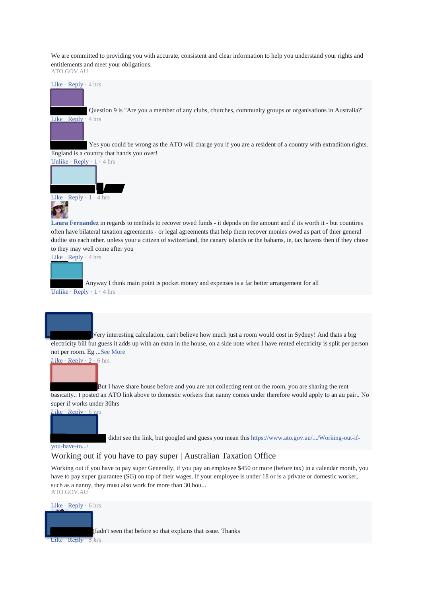We are committed to providing you with accurate, consistent and clear information to help you understand your rights and entitlements and meet your obligations. ATO.GOV.AU



basically.. I posted an ATO link above to domestic workers that nanny comes under therefore would apply to an au pair.. No super if works under 30hrs

Like · Reply · 6 hrs

didnt see the link, but googled and guess you mean this https://www.ato.gov.au/.../Working-out-if-

## you-have-to.../

# Working out if you have to pay super | Australian Taxation Office

Working out if you have to pay super Generally, if you pay an employee \$450 or more (before tax) in a calendar month, you have to pay super guarantee (SG) on top of their wages. If your employee is under 18 or is a private or domestic worker, such as a nanny, they must also work for more than 30 hou... ATO.GOV.AU

Like · Reply · 6 hrs Hadn't seen that before so that explains that issue. Thanks Like  $\cdot$  Reply  $\cdot$  5 hrs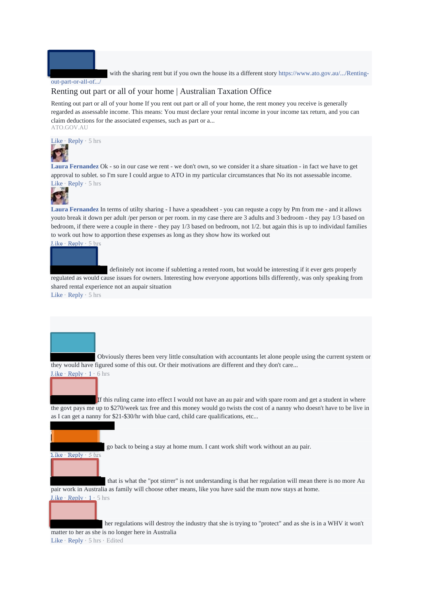

with the sharing rent but if you own the house its a different story https://www.ato.gov.au/.../Renting-

## out-part-or-all-of.../

# Renting out part or all of your home | Australian Taxation Office

Renting out part or all of your home If you rent out part or all of your home, the rent money you receive is generally regarded as assessable income. This means: You must declare your rental income in your income tax return, and you can claim deductions for the associated expenses, such as part or a... ATO.GOV.AU



**Laura Fernandez** Ok - so in our case we rent - we don't own, so we consider it a share situation - in fact we have to get approval to sublet. so I'm sure I could argue to ATO in my particular circumstances that No its not assessable income. Like · Reply · 5 hrs



**Laura Fernandez** In terms of utilty sharing - I have a speadsheet - you can requste a copy by Pm from me - and it allows youto break it down per adult /per person or per room. in my case there are 3 adults and 3 bedroom - they pay 1/3 based on bedroom, if there were a couple in there - they pay 1/3 based on bedroom, not 1/2. but again this is up to individaul families to work out how to apportion these expenses as long as they show how its worked out

Like · Reply · 5 hrs

 definitely not income if subletting a rented room, but would be interesting if it ever gets properly regulated as would cause issues for owners. Interesting how everyone apportions bills differently, was only speaking from shared rental experience not an aupair situation Like  $\cdot$  Reply  $\cdot$  5 hrs

 Obviously theres been very little consultation with accountants let alone people using the current system or they would have figured some of this out. Or their motivations are different and they don't care... Like  $\cdot$  Reply  $\cdot$  1  $\cdot$  6 hrs

 If this ruling came into effect I would not have an au pair and with spare room and get a student in where the govt pays me up to \$270/week tax free and this money would go twists the cost of a nanny who doesn't have to be live in as I can get a nanny for \$21-\$30/hr with blue card, child care qualifications, etc...



go back to being a stay at home mum. I cant work shift work without an au pair.

 that is what the "pot stirrer" is not understanding is that her regulation will mean there is no more Au pair work in Australia as family will choose other means, like you have said the mum now stays at home. Like  $\cdot$  Reply  $\cdot$  1  $\cdot$  5 hrs

 her regulations will destroy the industry that she is trying to "protect" and as she is in a WHV it won't matter to her as she is no longer here in Australia

Like · Reply · 5 hrs · Edited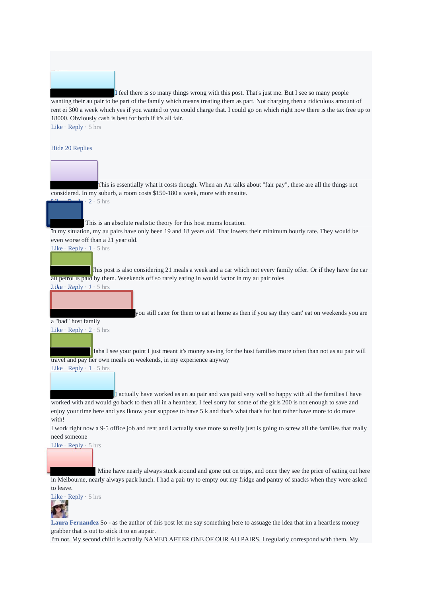

 I feel there is so many things wrong with this post. That's just me. But I see so many people wanting their au pair to be part of the family which means treating them as part. Not charging then a ridiculous amount of rent ei 300 a week which yes if you wanted to you could charge that. I could go on which right now there is the tax free up to 18000. Obviously cash is best for both if it's all fair. Like · Reply · 5 hrs

#### Hide 20 Replies



This is essentially what it costs though. When an Au talks about "fair pay", these are all the things not considered. In my suburb, a room costs \$150-180 a week, more with ensuite.



 $2 \cdot 5$  hrs

This is an absolute realistic theory for this host mums location.

In my situation, my au pairs have only been 19 and 18 years old. That lowers their minimum hourly rate. They would be even worse off than a 21 year old.

Like  $\cdot$  Reply  $\cdot$  1  $\cdot$  5 hrs

This post is also considering 21 meals a week and a car which not every family offer. Or if they have the car all petrol is paid by them. Weekends off so rarely eating in would factor in my au pair roles

Like · Reply · 1 · 5 hrs

a "bad" host family

you still cater for them to eat at home as then if you say they cant' eat on weekends you are

# Like  $\cdot$  Reply  $\cdot$  2  $\cdot$  5 hrs

Haha I see your point I just meant it's money saving for the host families more often than not as au pair will travel and pay her own meals on weekends, in my experience anyway

Like · Reply · 1 · 5 hrs

 I actually have worked as an au pair and was paid very well so happy with all the families I have worked with and would go back to then all in a heartbeat. I feel sorry for some of the girls 200 is not enough to save and enjoy your time here and yes Iknow your suppose to have 5 k and that's what that's for but rather have more to do more with!

I work right now a 9-5 office job and rent and I actually save more so really just is going to screw all the families that really need someone



 Mine have nearly always stuck around and gone out on trips, and once they see the price of eating out here in Melbourne, nearly always pack lunch. I had a pair try to empty out my fridge and pantry of snacks when they were asked to leave.

Like · Reply · 5 hrs

**Laura Fernandez** So - as the author of this post let me say something here to assuage the idea that im a heartless money grabber that is out to stick it to an aupair.

I'm not. My second child is actually NAMED AFTER ONE OF OUR AU PAIRS. I regularly correspond with them. My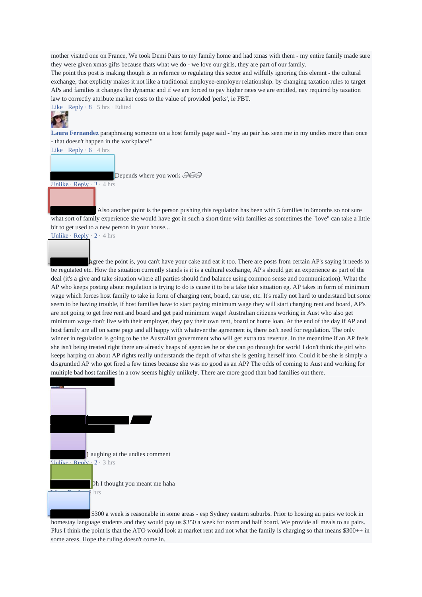mother visited one on France, We took Demi Pairs to my family home and had xmas with them - my entire family made sure they were given xmas gifts because thats what we do - we love our girls, they are part of our family.

The point this post is making though is in refernce to regulating this sector and wilfully ignoring this elemnt - the cultural exchange, that explicity makes it not like a traditional employee-employer relationship. by changing taxation rules to target APs and families it changes the dynamic and if we are forced to pay higher rates we are entitled, nay required by taxation law to correctly attribute market costs to the value of provided 'perks', ie FBT.

Like  $\cdot$  Reply  $\cdot$  8  $\cdot$  5 hrs  $\cdot$  Edited



**Laura Fernandez** paraphrasing someone on a host family page said - 'my au pair has seen me in my undies more than once - that doesn't happen in the workplace!"

Like · Reply · 6 · 4 hrs

Unlike · Reply · 3 · 4 hrs

Depends where you work @@@

 Also another point is the person pushing this regulation has been with 5 families in 6months so not sure what sort of family experience she would have got in such a short time with families as sometimes the "love" can take a little bit to get used to a new person in your house...

Unlike · Reply · 2 · 4 hrs

Agree the point is, you can't have your cake and eat it too. There are posts from certain AP's saying it needs to be regulated etc. How the situation currently stands is it is a cultural exchange, AP's should get an experience as part of the deal (it's a give and take situation where all parties should find balance using common sense and communication). What the AP who keeps posting about regulation is trying to do is cause it to be a take take situation eg. AP takes in form of minimum wage which forces host family to take in form of charging rent, board, car use, etc. It's really not hard to understand but some seem to be having trouble, if host families have to start paying minimum wage they will start charging rent and board, AP's are not going to get free rent and board and get paid minimum wage! Australian citizens working in Aust who also get minimum wage don't live with their employer, they pay their own rent, board or home loan. At the end of the day if AP and host family are all on same page and all happy with whatever the agreement is, there isn't need for regulation. The only winner in regulation is going to be the Australian government who will get extra tax revenue. In the meantime if an AP feels she isn't being treated right there are already heaps of agencies he or she can go through for work! I don't think the girl who keeps harping on about AP rights really understands the depth of what she is getting herself into. Could it be she is simply a disgruntled AP who got fired a few times because she was no good as an AP? The odds of coming to Aust and working for multiple bad host families in a row seems highly unlikely. There are more good than bad families out there.



\$300 a week is reasonable in some areas - esp Sydney eastern suburbs. Prior to hosting au pairs we took in homestay language students and they would pay us \$350 a week for room and half board. We provide all meals to au pairs. Plus I think the point is that the ATO would look at market rent and not what the family is charging so that means \$300++ in some areas. Hope the ruling doesn't come in.